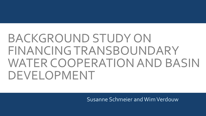# BACKGROUND STUDY ON FINANCING TRANSBOUNDARY WATER COOPERATION AND BASIN DEVELOPMENT

Susanne Schmeier and Wim Verdouw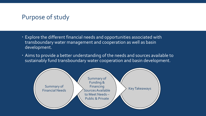# Purpose of study

- Explore the different financial needs and opportunities associated with transboundary water management and cooperation as well as basin development.
- Aims to provide a better understanding of the needs and sources available to sustainably fund transboundary water cooperation and basin development.

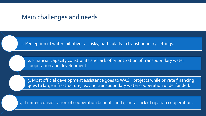## Main challenges and needs

1. Perception of water initiatives as risky, particularly in transboundary settings.

2. Financial capacity constraints and lack of prioritization of transboundary water cooperation and development.

3. Most official development assistance goes to WASH projects while private financing goes to large infrastructure, leaving transboundary water cooperation underfunded.

4. Limited consideration of cooperation benefits and general lack of riparian cooperation.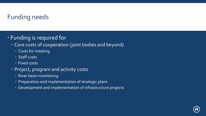# Funding needs

- Funding is required for
	- Core costs of cooperation (joint bodies and beyond)
		- Costs for meeting
		- Staff costs
		- Fixed costs
	- Project, program and activity costs
		- River basin monitoring
		- Preparation and implementation of strategic plans
		- Development and implementation of infrastructure projects

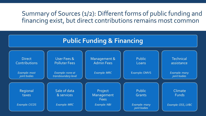# Summary of Sources (1/2): Different forms of public funding and financing exist, but direct contributions remains most common

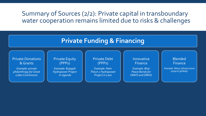## Summary of Sources (2/2): Private capital in transboundary water cooperation remains limited due to risks & challenges

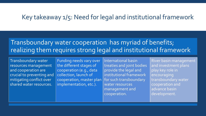#### Key takeaway 1/5: Need for legal and institutional framework

# Transboundary water cooperation has myriad of benefits; realizing them requires strong legal and institutional framework

Transboundary water resources management and cooperation are crucial to preventing and mitigating conflict over shared water resources.

Funding needs vary over the different stages of cooperation (e.g., data collection, launch of cooperation, master plan implementation, etc.).

International basin treaties and joint bodies provide the legal and institutional framework for such transboundary water resources management and cooperation.

River basin management and investment plans play key role in encouraging transboundary water cooperation and advance basin development.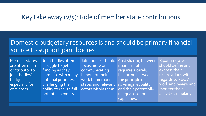#### Key take away (2/5): Role of member state contributions

# Domestic budgetary resources is and should be primary financial source to support joint bodies

Member states are often main contributor to joint bodies' budgets, especially for core costs.

Joint bodies often struggle to get funding as they compete with many national priorities, challenging their ability to realize full potential benefits.

Joint bodies should focus more on communicating benefit of their work to member states and relevant actors within them.

Cost sharing between riparian states requires a careful balancing between the principle of sovereign equality and their potentially unequal economic capacities.

Riparian states should define and express their expectations with regards to RBOs' work and review and monitor their activities regularly.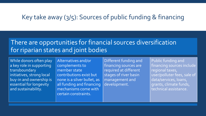# Key take away (3/5): Sources of public funding & financing

## There are opportunities for financial sources diversification for riparian states and joint bodies

While donors often play a key role in supporting transboundary initiatives, strong local buy-in and ownership is essential for longevity and sustainability.

Alternatives and/or complements to member state contributions exist but none is a silver bullet, as all funding and financing mechanisms come with certain constraints.

Different funding and financing sources are required at different stages of river basin management and development.

Public funding and financing sources include regional taxes, user/polluter fees, sale of data/services, loans, grants, climate funds, technical assistance.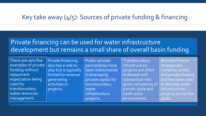# Key take away (4/5): Sources of private funding & financing

# Private financing can be used for water infrastructure development but remains a small share of overall basin funding

There are very few examples of private funding without repayment expectation being used for transboundary water resources management.

Private financing also has a role to play but is typically limited to revenue generating activities or projects.

Public-private partnerships have been instrumental in leveraging private capital for transboundary water infrastructure projects.

**Transboundary** infrastructure projects are often endowed with substantial risks given complexity of a multi-state and multi-actor environment.

Blended finance strategically combines public and private finance and has been used to develop water infrastructure projects across the globe.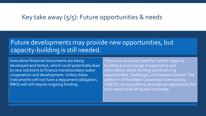#### Key take away (5/5): Future opportunities & needs

# Future developments may provide new opportunities, but capacity-building is still needed.

Innovative financial instruments are being developed and tested, which could potentially lead to new solutions to finance transboundary water cooperation and development. Unless these instruments will not have a repayment obligation, RBOs will still require ongoing funding.

There is a continued need for further capacity building and exchange of experience and information about funding and financing opportunities, challenges, and lessons learned. The platform of the Water Convention (serviced by UNECE), among others, provides an opportunity for such capacity building and exchange.